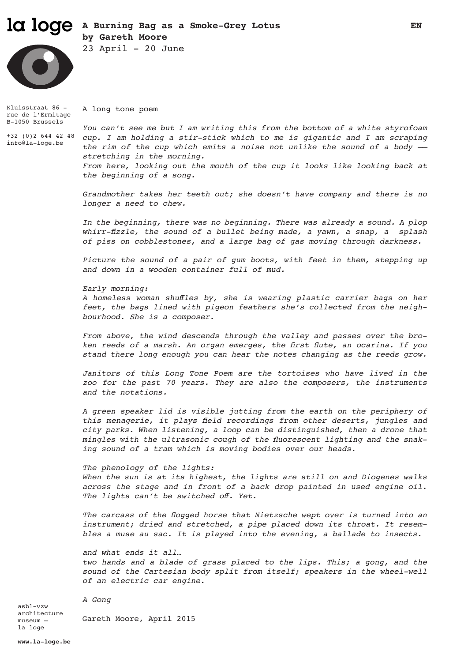## la loge  **A Burning Bag as a Smoke-Grey Lotus EN by Gareth Moore**



 $23$  April -  $20$  June

Kluisstraat 86 rue de l'Ermitage A long tone poem

+32 (0)2 644 42 48 info@la-loge.be

B-1050 Brussels

*You can't see me but I am writing this from the bottom of a white styrofoam cup. I am holding a stir-stick which to me is gigantic and I am scraping the rim of the cup which emits a noise not unlike the sound of a body — stretching in the morning. From here, looking out the mouth of the cup it looks like looking back at the beginning of a song.* 

*Grandmother takes her teeth out; she doesn't have company and there is no longer a need to chew.*

*In the beginning, there was no beginning. There was already a sound. A plop whirr-fizzle, the sound of a bullet being made, a yawn, a snap, a splash of piss on cobblestones, and a large bag of gas moving through darkness.* 

*Picture the sound of a pair of gum boots, with feet in them, stepping up and down in a wooden container full of mud.* 

*Early morning:*

*A homeless woman shuffles by, she is wearing plastic carrier bags on her feet, the bags lined with pigeon feathers she's collected from the neighbourhood. She is a composer.* 

*From above, the wind descends through the valley and passes over the broken reeds of a marsh. An organ emerges, the first flute, an ocarina. If you stand there long enough you can hear the notes changing as the reeds grow.* 

*Janitors of this Long Tone Poem are the tortoises who have lived in the zoo for the past 70 years. They are also the composers, the instruments and the notations.* 

*A green speaker lid is visible jutting from the earth on the periphery of this menagerie, it plays field recordings from other deserts, jungles and city parks. When listening, a loop can be distinguished, then a drone that mingles with the ultrasonic cough of the fluorescent lighting and the snaking sound of a tram which is moving bodies over our heads.*

*The phenology of the lights: When the sun is at its highest, the lights are still on and Diogenes walks across the stage and in front of a back drop painted in used engine oil. The lights can't be switched off. Yet.* 

*The carcass of the flogged horse that Nietzsche wept over is turned into an instrument; dried and stretched, a pipe placed down its throat. It resembles a muse au sac. It is played into the evening, a ballade to insects.* 

*and what ends it all… two hands and a blade of grass placed to the lips. This; a gong, and the sound of the Cartesian body split from itself; speakers in the wheel-well of an electric car engine.*

*A Gong*

asbl-vzw architecture museum – la loge Gareth Moore, April 2015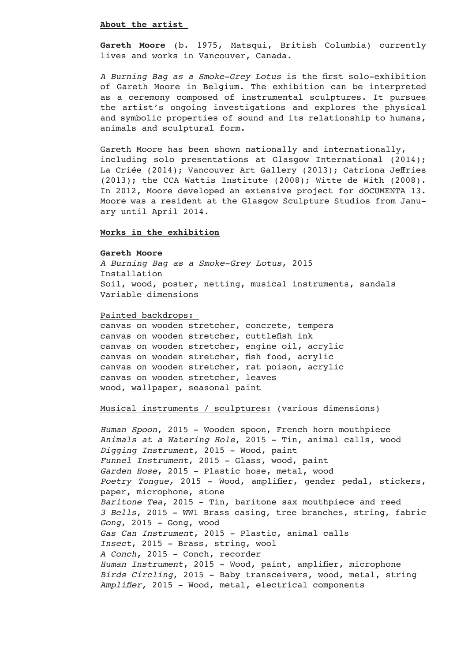#### **About the artist**

**Gareth Moore** (b. 1975, Matsqui, British Columbia) currently lives and works in Vancouver, Canada.

*A Burning Bag as a Smoke-Grey Lotus* is the first solo-exhibition of Gareth Moore in Belgium. The exhibition can be interpreted as a ceremony composed of instrumental sculptures. It pursues the artist's ongoing investigations and explores the physical and symbolic properties of sound and its relationship to humans, animals and sculptural form.

Gareth Moore has been shown nationally and internationally, including solo presentations at Glasgow International (2014); La Criée (2014); Vancouver Art Gallery (2013); Catriona Jeffries (2013); the CCA Wattis Institute (2008); Witte de With (2008). In 2012, Moore developed an extensive project for dOCUMENTA 13. Moore was a resident at the Glasgow Sculpture Studios from January until April 2014.

### **Works in the exhibition**

#### **Gareth Moore**

*A Burning Bag as a Smoke-Grey Lotus*, 2015 Installation Soil, wood, poster, netting, musical instruments, sandals Variable dimensions

#### Painted backdrops:

canvas on wooden stretcher, concrete, tempera canvas on wooden stretcher, cuttlefish ink canvas on wooden stretcher, engine oil, acrylic canvas on wooden stretcher, fish food, acrylic canvas on wooden stretcher, rat poison, acrylic canvas on wooden stretcher, leaves wood, wallpaper, seasonal paint

# Musical instruments / sculptures: (various dimensions)

*Human Spoon*, 2015 - Wooden spoon, French horn mouthpiece *Animals at a Watering Hole*, 2015 - Tin, animal calls, wood *Digging Instrument*, 2015 - Wood, paint *Funnel Instrument*, 2015 - Glass, wood, paint *Garden Hose*, 2015 - Plastic hose, metal, wood *Poetry Tongue,* 2015 - Wood, amplifier, gender pedal, stickers, paper, microphone, stone *Baritone Tea*, 2015 - Tin, baritone sax mouthpiece and reed *3 Bells*, 2015 - WW1 Brass casing, tree branches, string, fabric *Gong*, 2015 - Gong, wood *Gas Can Instrument*, 2015 - Plastic, animal calls *Insect*, 2015 - Brass, string, wool *A Conch*, 2015 - Conch, recorder *Human Instrument*, 2015 - Wood, paint, amplifier, microphone *Birds Circling*, 2015 - Baby transceivers, wood, metal, string *Amplifier*, 2015 - Wood, metal, electrical components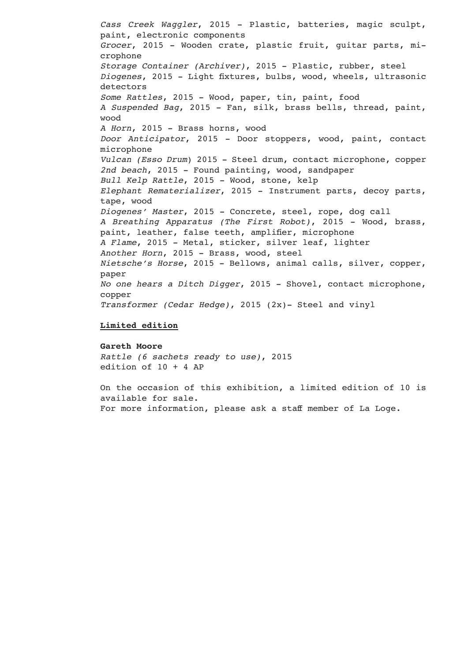*Cass Creek Waggler*, 2015 - Plastic, batteries, magic sculpt, paint, electronic components *Grocer*, 2015 - Wooden crate, plastic fruit, guitar parts, microphone *Storage Container (Archiver)*, 2015 - Plastic, rubber, steel *Diogenes*, 2015 - Light fixtures, bulbs, wood, wheels, ultrasonic detectors *Some Rattles*, 2015 - Wood, paper, tin, paint, food *A Suspended Bag*, 2015 - Fan, silk, brass bells, thread, paint, wood *A Horn*, 2015 - Brass horns, wood *Door Anticipator*, 2015 - Door stoppers, wood, paint, contact microphone *Vulcan (Esso Drum*) 2015 - Steel drum, contact microphone, copper *2nd beach*, 2015 - Found painting, wood, sandpaper *Bull Kelp Rattle*, 2015 - Wood, stone, kelp *Elephant Rematerializer*, 2015 - Instrument parts, decoy parts, tape, wood *Diogenes' Master*, 2015 - Concrete, steel, rope, dog call *A Breathing Apparatus (The First Robot)*, 2015 - Wood, brass, paint, leather, false teeth, amplifier, microphone *A Flame*, 2015 - Metal, sticker, silver leaf, lighter *Another Horn*, 2015 - Brass, wood, steel *Nietsche's Horse*, 2015 - Bellows, animal calls, silver, copper, paper *No one hears a Ditch Digger*, 2015 - Shovel, contact microphone, copper *Transformer (Cedar Hedge)*, 2015 (2x)- Steel and vinyl

#### **Limited edition**

#### **Gareth Moore**

*Rattle (6 sachets ready to use)*, 2015 edition of 10 + 4 AP

On the occasion of this exhibition, a limited edition of 10 is available for sale. For more information, please ask a staff member of La Loge.